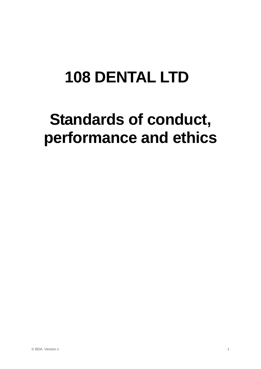# **108 DENTAL LTD**

# **Standards of conduct, performance and ethics**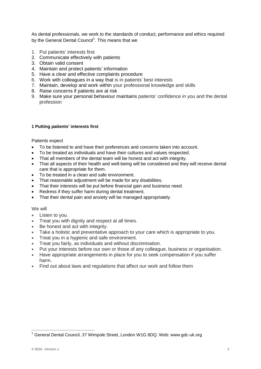As dental professionals, we work to the standards of conduct, performance and ethics required by the General Dental Council<sup>[1](#page-1-0)</sup>. This means that we

- 1. Put patients' interests first
- 2. Communicate effectively with patients
- 3. Obtain valid consent
- 4. Maintain and protect patients' information
- 5. Have a clear and effective complaints procedure
- 6. Work with colleagues in a way that is in patients' best interests
- 7. Maintain, develop and work within your professional knowledge and skills
- 8. Raise concerns if patients are at risk
- 9. Make sure your personal behaviour maintains patients' confidence in you and the dental profession

#### **1 Putting patients' interests first**

Patients expect

- To be listened to and have their preferences and concerns taken into account.
- To be treated as individuals and have their cultures and values respected.
- That all members of the dental team will be honest and act with integrity.
- That all aspects of their health and well-being will be considered and they will receive dental care that is appropriate for them.
- To be treated in a clean and safe environment.
- That reasonable adjustment will be made for any disabilities.
- That their interests will be put before financial gain and business need.
- Redress if they suffer harm during dental treatment.
- That their dental pain and anxiety will be managed appropriately.

# We will

- Listen to you.
- Treat you with dignity and respect at all times.
- Be honest and act with integrity.
- Take a holistic and preventative approach to your care which is appropriate to you.
- Treat you in a hygienic and safe environment.
- Treat you fairly, as individuals and without discrimination.
- Put your interests before our own or those of any colleague, business or organisation.
- Have appropriate arrangements in place for you to seek compensation if you suffer harm.
- Find out about laws and regulations that affect our work and follow them

<span id="page-1-0"></span><sup>&</sup>lt;sup>1</sup> General Dental Council, 37 Wimpole Street, London W1G 8DQ. Web: www.gdc-uk.org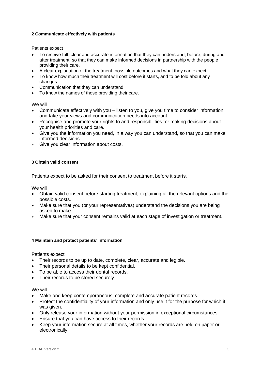# **2 Communicate effectively with patients**

Patients expect

- To receive full, clear and accurate information that they can understand, before, during and after treatment, so that they can make informed decisions in partnership with the people providing their care.
- A clear explanation of the treatment, possible outcomes and what they can expect.
- To know how much their treatment will cost before it starts, and to be told about any changes.
- Communication that they can understand.
- To know the names of those providing their care.

We will

- Communicate effectively with you listen to you, give you time to consider information and take your views and communication needs into account.
- Recognise and promote your rights to and responsibilities for making decisions about your health priorities and care.
- Give you the information you need, in a way you can understand, so that you can make informed decisions.
- Give you clear information about costs.

# **3 Obtain valid consent**

Patients expect to be asked for their consent to treatment before it starts.

We will

- Obtain valid consent before starting treatment, explaining all the relevant options and the possible costs.
- Make sure that you (or your representatives) understand the decisions you are being asked to make.
- Make sure that your consent remains valid at each stage of investigation or treatment.

#### **4 Maintain and protect patients' information**

Patients expect

- Their records to be up to date, complete, clear, accurate and legible.
- Their personal details to be kept confidential.
- To be able to access their dental records.
- Their records to be stored securely.

#### We will

- Make and keep contemporaneous, complete and accurate patient records.
- Protect the confidentiality of your information and only use it for the purpose for which it was given.
- Only release your information without your permission in exceptional circumstances.
- Ensure that you can have access to their records.
- Keep your information secure at all times, whether your records are held on paper or electronically.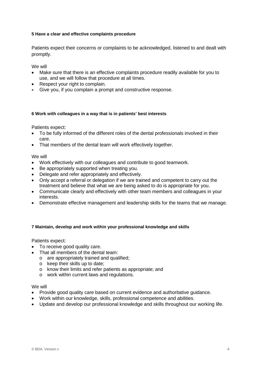# **5 Have a clear and effective complaints procedure**

Patients expect their concerns or complaints to be acknowledged, listened to and dealt with promptly.

We will

- Make sure that there is an effective complaints procedure readily available for you to use, and we will follow that procedure at all times.
- Respect your right to complain.
- Give you, if you complain a prompt and constructive response.

#### **6 Work with colleagues in a way that is in patients' best interests**

Patients expect:

- To be fully informed of the different roles of the dental professionals involved in their care.
- That members of the dental team will work effectively together.

We will

- Work effectively with our colleagues and contribute to good teamwork.
- Be appropriately supported when treating you.
- Delegate and refer appropriately and effectively.
- Only accept a referral or delegation if we are trained and competent to carry out the treatment and believe that what we are being asked to do is appropriate for you.
- Communicate clearly and effectively with other team members and colleagues in your interests.
- Demonstrate effective management and leadership skills for the teams that we manage.

#### **7 Maintain, develop and work within your professional knowledge and skills**

Patients expect:

- To receive good quality care.
- That all members of the dental team:
	- o are appropriately trained and qualified;
	- o keep their skills up to date;
	- o know their limits and refer patients as appropriate; and
	- o work within current laws and regulations.

We will

- Provide good quality care based on current evidence and authoritative guidance.
- Work within our knowledge, skills, professional competence and abilities.
- Update and develop our professional knowledge and skills throughout our working life.